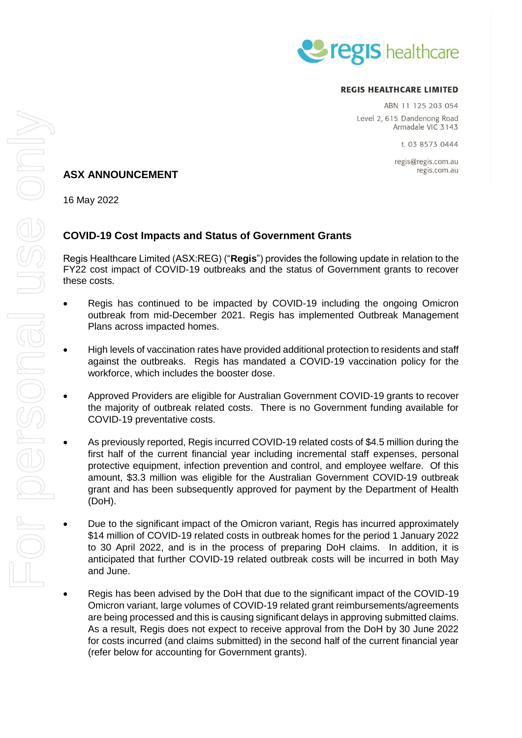

### **REGIS HEALTHCARE LIMITED**

ABN 11 125 203 054 Level 2, 615 Dandenong Road Armadale VIC 3143

t. 03 8573 0444

regis@regis.com.au regis.com.au

# **ASX ANNOUNCEMENT**

16 May 2022

# **COVID-19 Cost Impacts and Status of Government Grants**

Regis Healthcare Limited (ASX:REG) ("**Regis**") provides the following update in relation to the FY22 cost impact of COVID-19 outbreaks and the status of Government grants to recover these costs.

- Regis has continued to be impacted by COVID-19 including the ongoing Omicron outbreak from mid-December 2021. Regis has implemented Outbreak Management Plans across impacted homes.
- High levels of vaccination rates have provided additional protection to residents and staff against the outbreaks. Regis has mandated a COVID-19 vaccination policy for the workforce, which includes the booster dose.
- Approved Providers are eligible for Australian Government COVID-19 grants to recover the majority of outbreak related costs. There is no Government funding available for COVID-19 preventative costs.
- As previously reported, Regis incurred COVID-19 related costs of \$4.5 million during the first half of the current financial year including incremental staff expenses, personal protective equipment, infection prevention and control, and employee welfare. Of this amount, \$3.3 million was eligible for the Australian Government COVID-19 outbreak grant and has been subsequently approved for payment by the Department of Health (DoH).
- Due to the significant impact of the Omicron variant, Regis has incurred approximately \$14 million of COVID-19 related costs in outbreak homes for the period 1 January 2022 to 30 April 2022, and is in the process of preparing DoH claims. In addition, it is anticipated that further COVID-19 related outbreak costs will be incurred in both May and June.
- Regis has been advised by the DoH that due to the significant impact of the COVID-19 Omicron variant, large volumes of COVID-19 related grant reimbursements/agreements are being processed and this is causing significant delays in approving submitted claims. As a result, Regis does not expect to receive approval from the DoH by 30 June 2022 for costs incurred (and claims submitted) in the second half of the current financial year (refer below for accounting for Government grants).